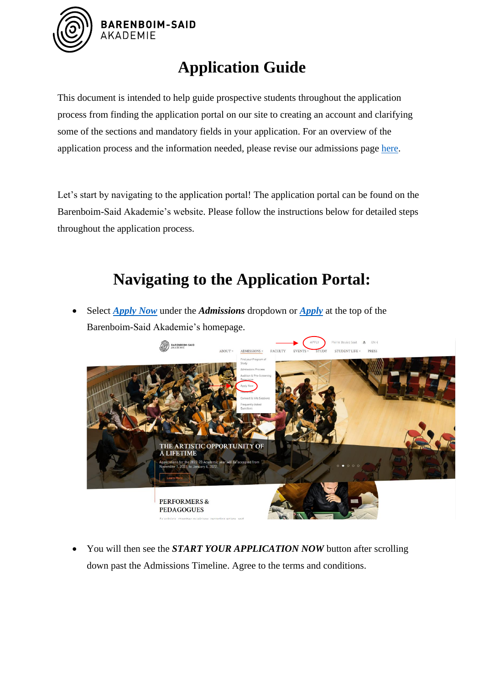

## **Application Guide**

This document is intended to help guide prospective students throughout the application process from finding the application portal on our site to creating an account and clarifying some of the sections and mandatory fields in your application. For an overview of the application process and the information needed, please revise our admissions page [here.](https://barenboimsaid.de/admissions/process)

Let's start by navigating to the application portal! The application portal can be found on the Barenboim-Said Akademie's website. Please follow the instructions below for detailed steps throughout the application process.

# **Navigating to the Application Portal:**

• Select *[Apply Now](https://barenboimsaid.de/admissions/apply-now)* under the *Admissions* dropdown or *[Apply](https://barenboimsaid.de/admissions/apply-now)* at the top of the Barenboim-Said Akademie's homepage.



• You will then see the *START YOUR APPLICATION NOW* button after scrolling down past the Admissions Timeline. Agree to the terms and conditions.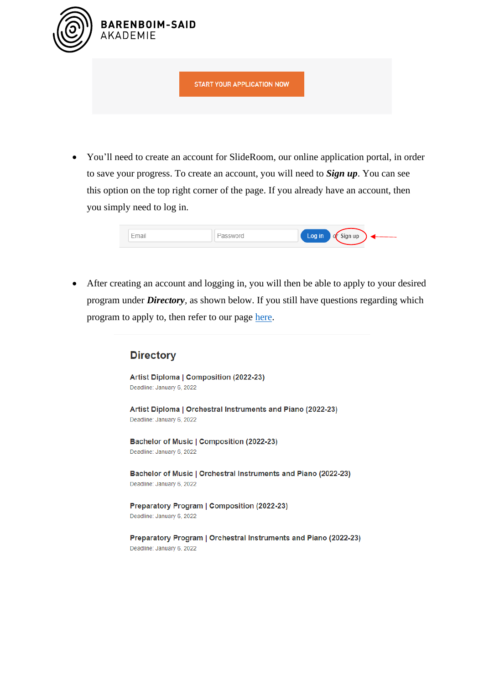

• You'll need to create an account for SlideRoom, our online application portal, in order to save your progress. To create an account, you will need to *Sign up*. You can see this option on the top right corner of the page. If you already have an account, then you simply need to log in.

| $\overline{\phantom{a}}$<br>---- | ---<br>. | $\sim$ an up $\sim$<br>-9 |  |
|----------------------------------|----------|---------------------------|--|
|                                  |          |                           |  |

• After creating an account and logging in, you will then be able to apply to your desired program under *Directory,* as shown below. If you still have questions regarding which program to apply to, then refer to our page [here.](https://barenboimsaid.de/admissions/applications)

#### **Directory**

Artist Diploma | Composition (2022-23) Deadline: January 6, 2022

Artist Diploma | Orchestral Instruments and Piano (2022-23) Deadline: January 6, 2022

Bachelor of Music | Composition (2022-23) Deadline: January 6, 2022

Bachelor of Music | Orchestral Instruments and Piano (2022-23) Deadline: January 6, 2022

Preparatory Program | Composition (2022-23) Deadline: January 6, 2022

Preparatory Program | Orchestral Instruments and Piano (2022-23) Deadline: January 6, 2022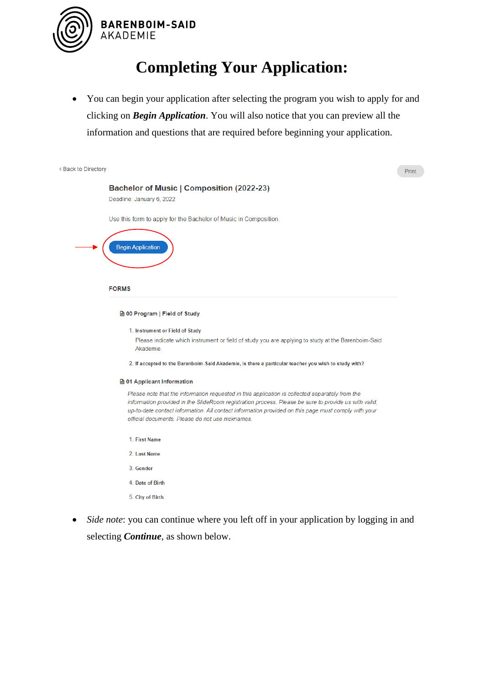

## **Completing Your Application:**

• You can begin your application after selecting the program you wish to apply for and clicking on *Begin Application*. You will also notice that you can preview all the information and questions that are required before beginning your application.



- 2. Last Name
- 3. Gender
- 4 Date of Birth
- 5. City of Birth
- *Side note*: you can continue where you left off in your application by logging in and selecting *Continue*, as shown below.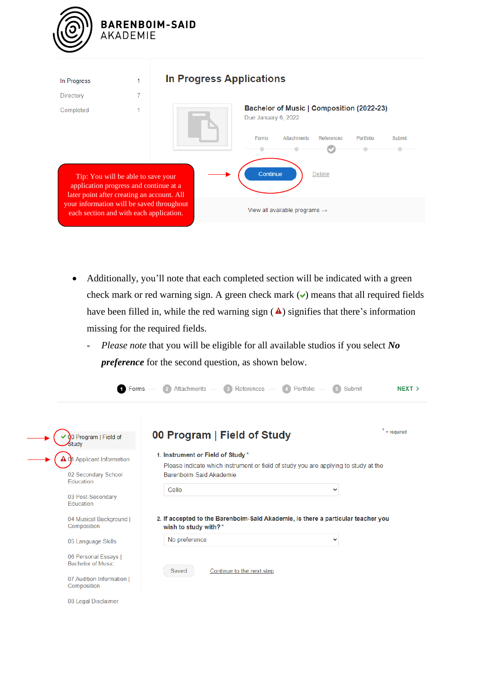

| In Progress                                                                                                                        |   | <b>In Progress Applications</b>                                                                                                                     |
|------------------------------------------------------------------------------------------------------------------------------------|---|-----------------------------------------------------------------------------------------------------------------------------------------------------|
| Directory                                                                                                                          | 7 |                                                                                                                                                     |
| Completed<br>Tip: You will be able to save your<br>application progress and continue at a                                          |   | Bachelor of Music   Composition (2022-23)<br>Due January 6, 2022<br>Forms<br>Attachments<br>References<br>Portfolio<br>Submit<br>Continue<br>Delete |
| later point after creating an account. All<br>your information will be saved throughout<br>each section and with each application. |   | View all available programs $\rightarrow$                                                                                                           |

- Additionally, you'll note that each completed section will be indicated with a green check mark or red warning sign. A green check mark  $\triangledown$  means that all required fields have been filled in, while the red warning sign  $(\triangle)$  signifies that there's information missing for the required fields.
	- *- Please note* that you will be eligible for all available studios if you select *No preference* for the second question, as shown below.

| <b>T</b> Forms                                   | Attachments<br>$\left(3\right)$ References —<br>(4) Portfolio                                            | Submit<br>NEXT > |
|--------------------------------------------------|----------------------------------------------------------------------------------------------------------|------------------|
| 0 Program   Field of<br>Studv                    | 00 Program   Field of Study                                                                              | $x = required$   |
| 1 Applicant Information                          | 1. Instrument or Field of Study*                                                                         |                  |
|                                                  | Please indicate which instrument or field of study you are applying to study at the                      |                  |
| 02 Secondary School<br><b>Education</b>          | Barenboim-Said Akademie                                                                                  |                  |
|                                                  | Cello                                                                                                    | v                |
| 03 Post-Secondary<br>Education                   |                                                                                                          |                  |
| 04 Musical Background  <br>Composition           | 2. If accepted to the Barenboim-Said Akademie, is there a particular teacher you<br>wish to study with?* |                  |
| 05 Language Skills                               | No preference                                                                                            | $\checkmark$     |
| 06 Personal Essays I<br><b>Bachelor of Music</b> | Continue to the next step<br>Saved                                                                       |                  |
| 07 Audition Information I<br>Composition         |                                                                                                          |                  |
| 08 Legal Disclaimer                              |                                                                                                          |                  |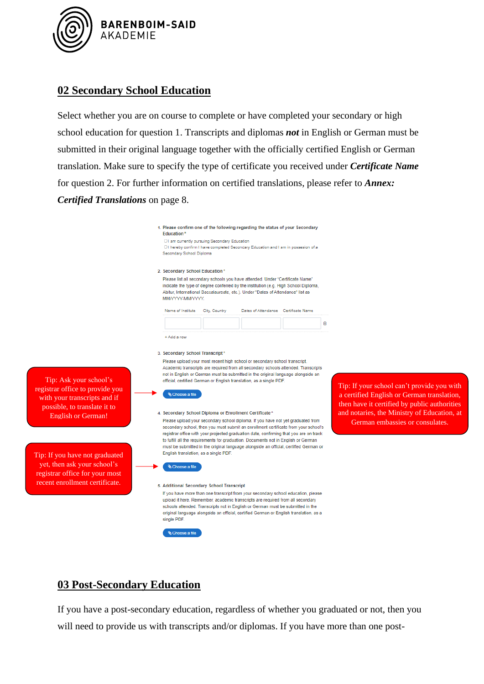

#### **02 Secondary School Education**

Select whether you are on course to complete or have completed your secondary or high school education for question 1. Transcripts and diplomas *not* in English or German must be submitted in their original language together with the officially certified English or German translation. Make sure to specify the type of certificate you received under *Certificate Name* for question 2. For further information on certified translations, please refer to *Annex: Certified Translations* on page 8.

| Education*                                                                                                                                                                                                                                                                                                                                                                                                                                                                                                                                         |                                               | 1. Please confirm one of the following regarding the status of your Secondary                                                                                                                                                                                                                                                                    |                                                                                |                                                                                                                                          |
|----------------------------------------------------------------------------------------------------------------------------------------------------------------------------------------------------------------------------------------------------------------------------------------------------------------------------------------------------------------------------------------------------------------------------------------------------------------------------------------------------------------------------------------------------|-----------------------------------------------|--------------------------------------------------------------------------------------------------------------------------------------------------------------------------------------------------------------------------------------------------------------------------------------------------------------------------------------------------|--------------------------------------------------------------------------------|------------------------------------------------------------------------------------------------------------------------------------------|
| Secondary School Diploma                                                                                                                                                                                                                                                                                                                                                                                                                                                                                                                           | O I am currently pursuing Secondary Education | O I hereby confirm I have completed Secondary Education and I am in possesion of a                                                                                                                                                                                                                                                               |                                                                                |                                                                                                                                          |
| 2. Secondary School Education*                                                                                                                                                                                                                                                                                                                                                                                                                                                                                                                     |                                               |                                                                                                                                                                                                                                                                                                                                                  |                                                                                |                                                                                                                                          |
| ΜΜΛΥΥΥΥ-ΜΜΛΥΥΥΥ.                                                                                                                                                                                                                                                                                                                                                                                                                                                                                                                                   |                                               | Please list all secondary schools you have attended. Under "Certificate Name"<br>indicate the type of degree conferred by the institution (e.g. High School Diploma,<br>Abitur, International Baccalaureate, etc.). Under "Dates of Attendance" list as                                                                                          |                                                                                |                                                                                                                                          |
| Name of Institute                                                                                                                                                                                                                                                                                                                                                                                                                                                                                                                                  | City, Country                                 | Dates of Attendance Certificate Name                                                                                                                                                                                                                                                                                                             |                                                                                |                                                                                                                                          |
|                                                                                                                                                                                                                                                                                                                                                                                                                                                                                                                                                    |                                               |                                                                                                                                                                                                                                                                                                                                                  |                                                                                | Û                                                                                                                                        |
| + Add a row                                                                                                                                                                                                                                                                                                                                                                                                                                                                                                                                        |                                               |                                                                                                                                                                                                                                                                                                                                                  |                                                                                |                                                                                                                                          |
| 3. Secondary School Transcript*                                                                                                                                                                                                                                                                                                                                                                                                                                                                                                                    |                                               | Please upload your most recent high school or secondary school transcript.<br>Academic transcripts are required from all secondary schools attended. Transcripts<br>not in English or German must be submitted in the original language alongside an<br>official, certified German or English translation, as a single PDF.                      |                                                                                |                                                                                                                                          |
| <b>&amp; Choose a file</b>                                                                                                                                                                                                                                                                                                                                                                                                                                                                                                                         |                                               |                                                                                                                                                                                                                                                                                                                                                  |                                                                                | Tip: If your school can't provide you with<br>a certified English or German translation,<br>then have it certified by public authorities |
| 4. Secondary School Diploma or Enrollment Certificate*<br>Please upload your secondary school diploma. If you have not yet graduated from<br>secondary school, then you must submit an enrollment certificate from your school's<br>registrar office with your projected graduation date, confirming that you are on track<br>to fulfill all the requirements for graduation. Documents not in English or German<br>must be submitted in the original language alongside an official, certified German or<br>English translation, as a single PDF. |                                               |                                                                                                                                                                                                                                                                                                                                                  | and notaries, the Ministry of Education, at<br>German embassies or consulates. |                                                                                                                                          |
| <b>Ghoose</b> a file                                                                                                                                                                                                                                                                                                                                                                                                                                                                                                                               |                                               |                                                                                                                                                                                                                                                                                                                                                  |                                                                                |                                                                                                                                          |
| 5. Additional Secondary School Transcript<br>single PDF.                                                                                                                                                                                                                                                                                                                                                                                                                                                                                           |                                               | If you have more than one transcript from your secondary school education, please<br>upload it here. Remember, academic transcripts are required from all secondary<br>schools attended. Transcripts not in English or German must be submitted in the<br>original language alongside an official, certified German or English translation, as a |                                                                                |                                                                                                                                          |

### **03 Post-Secondary Education**

 $\overset{\bullet}{\text{\sf\footnotesize Q}}$  Choose a file

Tip: If you have not graduated yet, then ask your school's registrar office for your most recent enrollment certificate.

Tip: Ask your school's registrar office to provide you with your transcripts and if possible, to translate it to English or German!

> If you have a post-secondary education, regardless of whether you graduated or not, then you will need to provide us with transcripts and/or diplomas. If you have more than one post-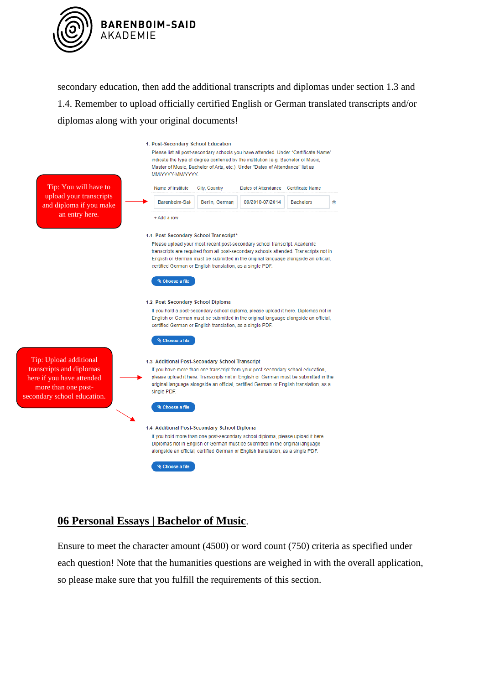

secondary education, then add the additional transcripts and diplomas under section 1.3 and 1.4. Remember to upload officially certified English or German translated transcripts and/or diplomas along with your original documents!



#### **06 Personal Essays | Bachelor of Music**.

Ensure to meet the character amount (4500) or word count (750) criteria as specified under each question! Note that the humanities questions are weighed in with the overall application, so please make sure that you fulfill the requirements of this section.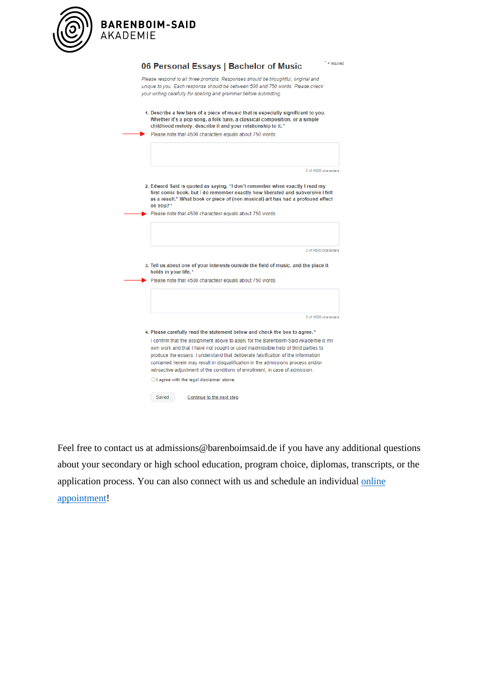

BARENBOIM-SAID<br>AKADEMIE

| 1. Describe a few bars of a piece of music that is especially significant to you.<br>Whether it's a pop song, a folk tune, a classical composition, or a simple<br>childhood melody: describe it and your relationship to it.*<br>Please note that 4500 characters equals about 750 words.<br>2. Edward Said is quoted as saying, "I don't remember when exactly I read my<br>on you?*<br>Please note that 4500 charactesr equals about 750 words.<br>3. Tell us about one of your interests outside the field of music, and the place it<br>holds in your life.*<br>Please note that 4500 charactesr equals about 750 words.<br>4. Please carefully read the statement below and check the box to agree. *<br>own work and that I have not sought or used inadmissible help of third parties to<br>produce the essays. I understand that deliberate falsification of the information<br>contained herein may result in disqualification in the admissions process and/or<br>retroactive adjustment of the conditions of enrollment, in case of admission.<br>$\Box$ I agree with the legal disclaimer above.<br>Saved<br>Continue to the next step | 06 Personal Essays   Bachelor of Music<br>Please respond to all three prompts. Responses should be thoughtful, original and<br>unique to you. Each response should be between 500 and 750 words. Please check<br>your writing carefully for spelling and grammar before submitting. |
|-----------------------------------------------------------------------------------------------------------------------------------------------------------------------------------------------------------------------------------------------------------------------------------------------------------------------------------------------------------------------------------------------------------------------------------------------------------------------------------------------------------------------------------------------------------------------------------------------------------------------------------------------------------------------------------------------------------------------------------------------------------------------------------------------------------------------------------------------------------------------------------------------------------------------------------------------------------------------------------------------------------------------------------------------------------------------------------------------------------------------------------------------------|-------------------------------------------------------------------------------------------------------------------------------------------------------------------------------------------------------------------------------------------------------------------------------------|
|                                                                                                                                                                                                                                                                                                                                                                                                                                                                                                                                                                                                                                                                                                                                                                                                                                                                                                                                                                                                                                                                                                                                                     |                                                                                                                                                                                                                                                                                     |
|                                                                                                                                                                                                                                                                                                                                                                                                                                                                                                                                                                                                                                                                                                                                                                                                                                                                                                                                                                                                                                                                                                                                                     |                                                                                                                                                                                                                                                                                     |
|                                                                                                                                                                                                                                                                                                                                                                                                                                                                                                                                                                                                                                                                                                                                                                                                                                                                                                                                                                                                                                                                                                                                                     | 0 of 4500 characters                                                                                                                                                                                                                                                                |
|                                                                                                                                                                                                                                                                                                                                                                                                                                                                                                                                                                                                                                                                                                                                                                                                                                                                                                                                                                                                                                                                                                                                                     | first comic book, but I do remember exactly how liberated and subversive I felt<br>as a result." What book or piece of (non-musical) art has had a profound effect                                                                                                                  |
|                                                                                                                                                                                                                                                                                                                                                                                                                                                                                                                                                                                                                                                                                                                                                                                                                                                                                                                                                                                                                                                                                                                                                     |                                                                                                                                                                                                                                                                                     |
|                                                                                                                                                                                                                                                                                                                                                                                                                                                                                                                                                                                                                                                                                                                                                                                                                                                                                                                                                                                                                                                                                                                                                     | 0 of 4500 characters                                                                                                                                                                                                                                                                |
|                                                                                                                                                                                                                                                                                                                                                                                                                                                                                                                                                                                                                                                                                                                                                                                                                                                                                                                                                                                                                                                                                                                                                     |                                                                                                                                                                                                                                                                                     |
|                                                                                                                                                                                                                                                                                                                                                                                                                                                                                                                                                                                                                                                                                                                                                                                                                                                                                                                                                                                                                                                                                                                                                     |                                                                                                                                                                                                                                                                                     |
|                                                                                                                                                                                                                                                                                                                                                                                                                                                                                                                                                                                                                                                                                                                                                                                                                                                                                                                                                                                                                                                                                                                                                     |                                                                                                                                                                                                                                                                                     |
|                                                                                                                                                                                                                                                                                                                                                                                                                                                                                                                                                                                                                                                                                                                                                                                                                                                                                                                                                                                                                                                                                                                                                     |                                                                                                                                                                                                                                                                                     |
|                                                                                                                                                                                                                                                                                                                                                                                                                                                                                                                                                                                                                                                                                                                                                                                                                                                                                                                                                                                                                                                                                                                                                     |                                                                                                                                                                                                                                                                                     |
|                                                                                                                                                                                                                                                                                                                                                                                                                                                                                                                                                                                                                                                                                                                                                                                                                                                                                                                                                                                                                                                                                                                                                     | I confirm that the assignment above to apply for the Barenboim-Said Akademie is my                                                                                                                                                                                                  |
|                                                                                                                                                                                                                                                                                                                                                                                                                                                                                                                                                                                                                                                                                                                                                                                                                                                                                                                                                                                                                                                                                                                                                     | 0 of 4500 characters                                                                                                                                                                                                                                                                |

Feel free to contact us at admissions@barenboimsaid.de if you have any additional questions about your secondary or high school education, program choice, diplomas, transcripts, or the application process. You can also connect with us and schedule an individual online [appointment!](https://barenboimsaid.de/admissions/connect)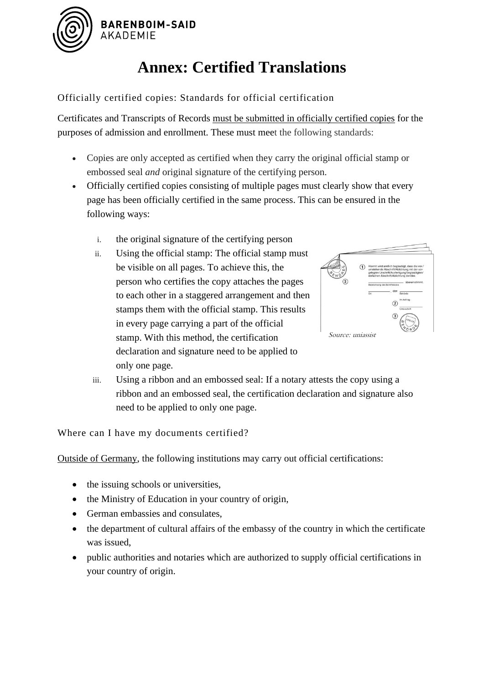

# **Annex: Certified Translations**

#### Officially certified copies: Standards for official certification

Certificates and Transcripts of Records must be submitted in officially certified copies for the purposes of admission and enrollment. These must meet the following standards:

- Copies are only accepted as certified when they carry the original official stamp or embossed seal *and* original signature of the certifying person.
- Officially certified copies consisting of multiple pages must clearly show that every page has been officially certified in the same process. This can be ensured in the following ways:
	- i. the original signature of the certifying person
	- ii. Using the official stamp: The official stamp must be visible on all pages. To achieve this, the person who certifies the copy attaches the pages to each other in a staggered arrangement and then stamps them with the official stamp. This results in every page carrying a part of the official stamp. With this method, the certification declaration and signature need to be applied to only one page.



iii. Using a ribbon and an embossed seal: If a notary attests the copy using a ribbon and an embossed seal, the certification declaration and signature also need to be applied to only one page.

Where can I have my documents certified?

Outside of Germany, the following institutions may carry out official certifications:

- the issuing schools or universities,
- the Ministry of Education in your country of origin,
- German embassies and consulates,
- the department of cultural affairs of the embassy of the country in which the certificate was issued,
- public authorities and notaries which are authorized to supply official certifications in your country of origin.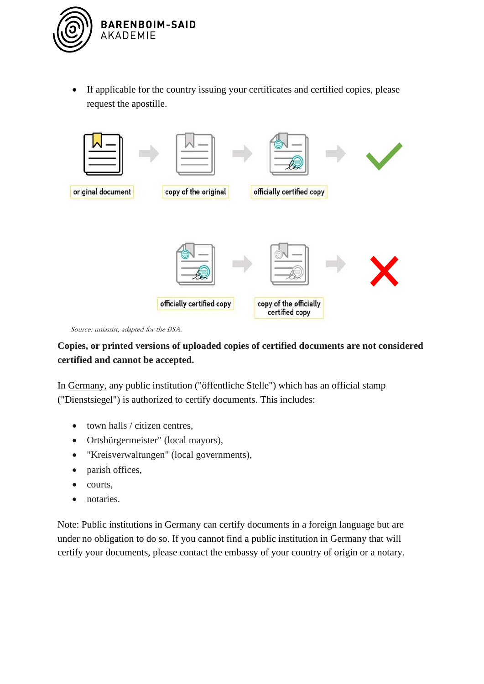

• If applicable for the country issuing your certificates and certified copies, please request the apostille.



Source: uniassist, adapted for the BSA.

#### **Copies, or printed versions of uploaded copies of certified documents are not considered certified and cannot be accepted.**

In Germany, any public institution ("öffentliche Stelle") which has an official stamp ("Dienstsiegel") is authorized to certify documents. This includes:

- town halls / citizen centres,
- Ortsbürgermeister" (local mayors),
- "Kreisverwaltungen" (local governments),
- parish offices,
- courts,
- notaries.

Note: Public institutions in Germany can certify documents in a foreign language but are under no obligation to do so. If you cannot find a public institution in Germany that will certify your documents, please contact the embassy of your country of origin or a notary.